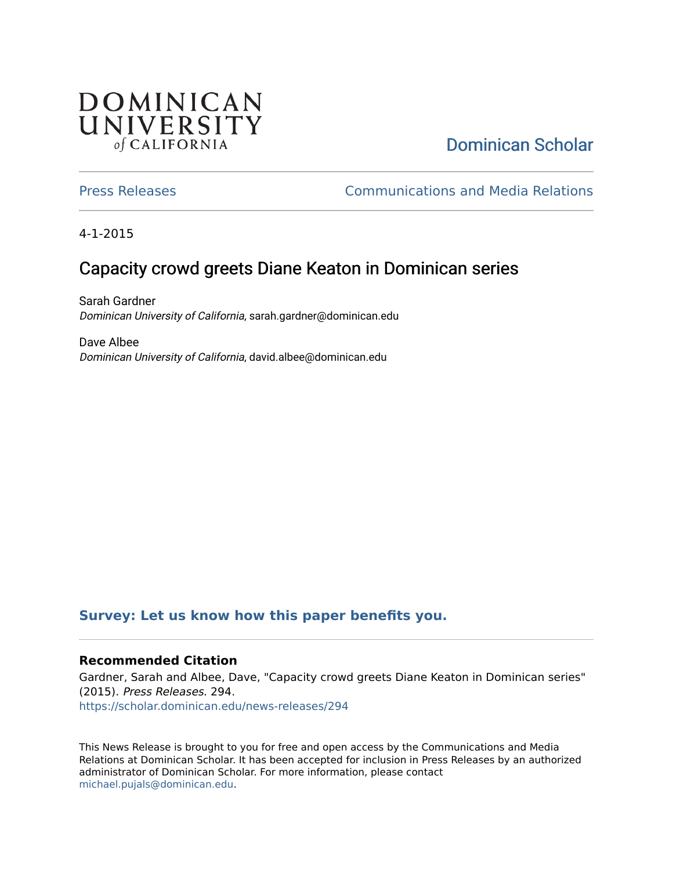## **DOMINICAN** UNIVERSITY of CALIFORNIA

# [Dominican Scholar](https://scholar.dominican.edu/)

[Press Releases](https://scholar.dominican.edu/news-releases) [Communications and Media Relations](https://scholar.dominican.edu/communications-media) 

4-1-2015

# Capacity crowd greets Diane Keaton in Dominican series

Sarah Gardner Dominican University of California, sarah.gardner@dominican.edu

Dave Albee Dominican University of California, david.albee@dominican.edu

## **[Survey: Let us know how this paper benefits you.](https://dominican.libwizard.com/dominican-scholar-feedback)**

### **Recommended Citation**

Gardner, Sarah and Albee, Dave, "Capacity crowd greets Diane Keaton in Dominican series" (2015). Press Releases. 294. [https://scholar.dominican.edu/news-releases/294](https://scholar.dominican.edu/news-releases/294?utm_source=scholar.dominican.edu%2Fnews-releases%2F294&utm_medium=PDF&utm_campaign=PDFCoverPages)

This News Release is brought to you for free and open access by the Communications and Media Relations at Dominican Scholar. It has been accepted for inclusion in Press Releases by an authorized administrator of Dominican Scholar. For more information, please contact [michael.pujals@dominican.edu.](mailto:michael.pujals@dominican.edu)